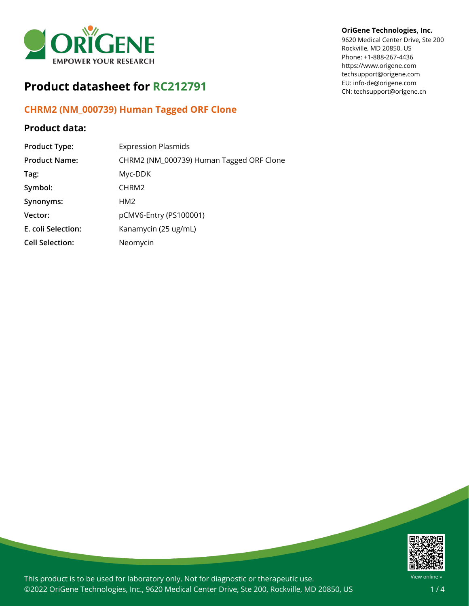

# **Product datasheet for RC212791**

## **CHRM2 (NM\_000739) Human Tagged ORF Clone**

### **Product data:**

| <b>Product Type:</b>   | <b>Expression Plasmids</b>               |
|------------------------|------------------------------------------|
| <b>Product Name:</b>   | CHRM2 (NM_000739) Human Tagged ORF Clone |
| Tag:                   | Myc-DDK                                  |
| Symbol:                | CHRM <sub>2</sub>                        |
| Synonyms:              | HM <sub>2</sub>                          |
| Vector:                | pCMV6-Entry (PS100001)                   |
| E. coli Selection:     | Kanamycin (25 ug/mL)                     |
| <b>Cell Selection:</b> | Neomycin                                 |

### **OriGene Technologies, Inc.**

9620 Medical Center Drive, Ste 200 Rockville, MD 20850, US Phone: +1-888-267-4436 https://www.origene.com techsupport@origene.com EU: info-de@origene.com CN: techsupport@origene.cn



This product is to be used for laboratory only. Not for diagnostic or therapeutic use. ©2022 OriGene Technologies, Inc., 9620 Medical Center Drive, Ste 200, Rockville, MD 20850, US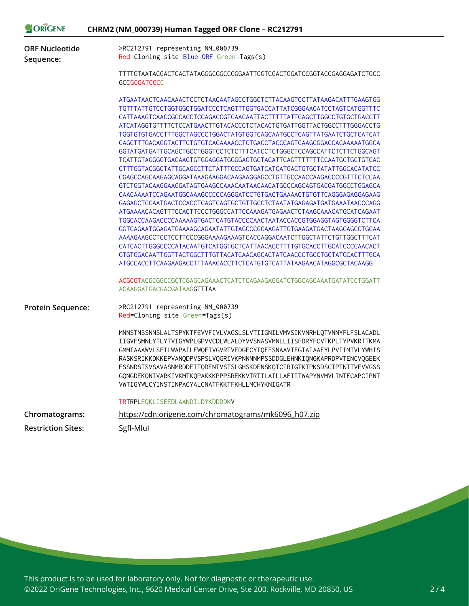| ORIGENE                            | CHRM2 (NM_000739) Human Tagged ORF Clone - RC212791                                                                                                                                                                                                                                                                                                                                                                                                                                                                                                                                                                                                                                                                                                                                                                                                                                                                                                                                                                                                                                                                                                                                                                                                                                                                                                                                                                                                                                    |
|------------------------------------|----------------------------------------------------------------------------------------------------------------------------------------------------------------------------------------------------------------------------------------------------------------------------------------------------------------------------------------------------------------------------------------------------------------------------------------------------------------------------------------------------------------------------------------------------------------------------------------------------------------------------------------------------------------------------------------------------------------------------------------------------------------------------------------------------------------------------------------------------------------------------------------------------------------------------------------------------------------------------------------------------------------------------------------------------------------------------------------------------------------------------------------------------------------------------------------------------------------------------------------------------------------------------------------------------------------------------------------------------------------------------------------------------------------------------------------------------------------------------------------|
| <b>ORF Nucleotide</b><br>Sequence: | >RC212791 representing NM_000739<br>Red=Cloning site Blue=ORF Green=Tags(s)                                                                                                                                                                                                                                                                                                                                                                                                                                                                                                                                                                                                                                                                                                                                                                                                                                                                                                                                                                                                                                                                                                                                                                                                                                                                                                                                                                                                            |
|                                    | TTTTGTAATACGACTCACTATAGGGCGGCCGGGAATTCGTCGACTGGATCCGGTACCGAGGAGATCTGCC<br><b>GCCGCGATCGCC</b>                                                                                                                                                                                                                                                                                                                                                                                                                                                                                                                                                                                                                                                                                                                                                                                                                                                                                                                                                                                                                                                                                                                                                                                                                                                                                                                                                                                          |
|                                    | ATGAATAACTCAACAAACTCCTCTAACAATAGCCTGGCTCTTACAAGTCCTTATAAGACATTTGAAGTGG<br>TGTTTATTGTCCTGGTGGCTGGATCCCTCAGTTTGGTGACCATTATCGGGAACATCCTAGTCATGGTTTC<br>CATTAAAGTCAACCGCCACCTCCAGACCGTCAACAATTACTTTTTATTCAGCTTGGCCTGTGCTGACCTT<br>ATCATAGGTGTTTTCTCCATGAACTTGTACACCCTCTACACTGTGATTGGTTACTGGCCTTTGGGACCTG<br>TGGTGTGTGACCTTTGGCTAGCCCTGGACTATGTGGTCAGCAATGCCTCAGTTATGAATCTGCTCATCAT<br>CAGCTTTGACAGGTACTTCTGTGTCACAAAACCTCTGACCTACCCAGTCAAGCGGACCACAAAAATGGCA<br>GGTATGATGATTGCAGCTGCCTGGGTCCTCTCTTTCATCCTCTGGGCTCCAGCCATTCTCTTCTGGCAGT<br>TCATTGTAGGGGTGAGAACTGTGGAGGATGGGGAGTGCTACATTCAGTTTTTTTCCAATGCTGCTGTCAC<br>CTTTGGTACGGCTATTGCAGCCTTCTATTTGCCAGTGATCATCATGACTGTGCTATATTGGCACATATCC<br>GTCTGGTACAAGGAAGGATAGTGAAGCCAAACAATAACAACATGCCCAGCAGTGACGATGGCCTGGAGCA<br>CAACAAAATCCAGAATGGCAAAGCCCCCAGGGATCCTGTGACTGAAAACTGTGTTCAGGGAGAGGAGAAG<br>GAGAGCTCCAATGACTCCACCTCAGTCAGTGCTGTTGCCTCTAATATGAGAGATGATGAAATAACCCAGG<br>ATGAAAACACAGTTTCCACTTCCCTGGGCCATTCCAAAGATGAGAACTCTAAGCAAACATGCATCAGAAT<br>TGGCACCAAGACCCCAAAAAGTGACTCATGTACCCCAACTAATACCACCGTGGAGGTAGTGGGGTCTTCA<br>GGTCAGAATGGAGATGAAAAGCAGAATATTGTAGCCCGCAAGATTGTGAAGATGACTAAGCAGCCTGCAA<br>AAAAGAAGCCTCCTCCTTCCCGGGAAAAGAAAGTCACCAGGACAATCTTGGCTATTCTGTTGGCTTTCAT<br>CATCACTTGGGCCCCATACAATGTCATGGTGCTCATTAACACCTTTTGTGCACCTTGCATCCCCAACACT<br>ATGCCACCTTCAAGAAGACCTTTAAACACCTTCTCATGTGTCATTATAAGAACATAGGCGCTACAAGG<br>ACGCGTACGCGGCCGCTCGAGCAGAAACTCATCTCAGAAGAGGATCTGGCAGCAAATGATATCCTGGATT<br>ACAAGGATGACGACGATAAGGTTTAA |
| <b>Protein Sequence:</b>           | >RC212791 representing NM_000739<br>Red=Cloning site Green=Tags(s)                                                                                                                                                                                                                                                                                                                                                                                                                                                                                                                                                                                                                                                                                                                                                                                                                                                                                                                                                                                                                                                                                                                                                                                                                                                                                                                                                                                                                     |
|                                    | MNNSTNSSNNSLALTSPYKTFEVVFIVLVAGSLSLVTIIGNILVMVSIKVNRHLQTVNNYFLFSLACADL<br>IIGVFSMNLYTLYTVIGYWPLGPVVCDLWLALDYVVSNASVMNLLIISFDRYFCVTKPLTYPVKRTTKMA<br>GMMIAAAWVLSFILWAPAILFWQFIVGVRTVEDGECYIQFFSNAAVTFGTAIAAFYLPVIIMTVLYWHIS<br>RASKSRIKKDKKEPVANQDPVSPSLVQGRIVKPNNNNMPSSDDGLEHNKIQNGKAPRDPVTENCVQGEEK<br>ESSNDSTSVSAVASNMRDDEITQDENTVSTSLGHSKDENSKQTCIRIGTKTPKSDSCTPTNTTVEVVGSS<br>GQNGDEKQNIVARKIVKMTKQPAKKKPPPSREKKVTRTILAILLAFIITWAPYNVMVLINTFCAPCIPNT<br>VWTIGYWLCYINSTINPACYALCNATFKKTFKHLLMCHYKNIGATR                                                                                                                                                                                                                                                                                                                                                                                                                                                                                                                                                                                                                                                                                                                                                                                                                                                                                                                                                                             |
|                                    | TRTRPLEQKLISEEDLAANDILDYKDDDDKV                                                                                                                                                                                                                                                                                                                                                                                                                                                                                                                                                                                                                                                                                                                                                                                                                                                                                                                                                                                                                                                                                                                                                                                                                                                                                                                                                                                                                                                        |
| Chromatograms:                     | https://cdn.origene.com/chromatograms/mk6096 h07.zip                                                                                                                                                                                                                                                                                                                                                                                                                                                                                                                                                                                                                                                                                                                                                                                                                                                                                                                                                                                                                                                                                                                                                                                                                                                                                                                                                                                                                                   |
| <b>Restriction Sites:</b>          | SgfI-Mlul                                                                                                                                                                                                                                                                                                                                                                                                                                                                                                                                                                                                                                                                                                                                                                                                                                                                                                                                                                                                                                                                                                                                                                                                                                                                                                                                                                                                                                                                              |

This product is to be used for laboratory only. Not for diagnostic or therapeutic use. ©2022 OriGene Technologies, Inc., 9620 Medical Center Drive, Ste 200, Rockville, MD 20850, US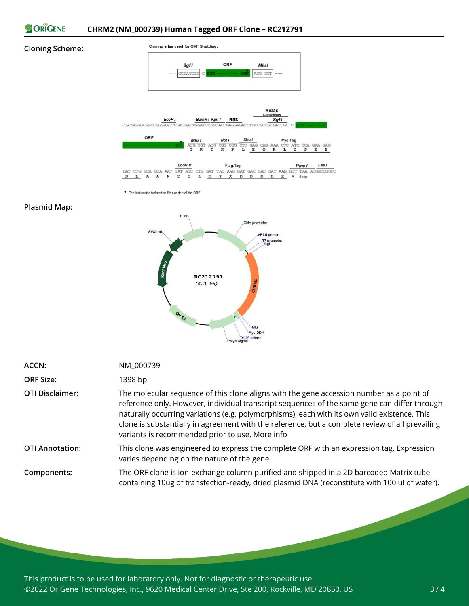

#### **Cloning Scheme:**



\* The last codon before the Stop codon of the ORF

#### **Plasmid Map:**



| ACCN:                  | NM_000739                                                                                                                                                                                                                                                                                                                                                                                                                                      |
|------------------------|------------------------------------------------------------------------------------------------------------------------------------------------------------------------------------------------------------------------------------------------------------------------------------------------------------------------------------------------------------------------------------------------------------------------------------------------|
| <b>ORF Size:</b>       | 1398 bp                                                                                                                                                                                                                                                                                                                                                                                                                                        |
| <b>OTI Disclaimer:</b> | The molecular sequence of this clone aligns with the gene accession number as a point of<br>reference only. However, individual transcript sequences of the same gene can differ through<br>naturally occurring variations (e.g. polymorphisms), each with its own valid existence. This<br>clone is substantially in agreement with the reference, but a complete review of all prevailing<br>variants is recommended prior to use. More info |
| <b>OTI Annotation:</b> | This clone was engineered to express the complete ORF with an expression tag. Expression<br>varies depending on the nature of the gene.                                                                                                                                                                                                                                                                                                        |
| Components:            | The ORF clone is ion-exchange column purified and shipped in a 2D barcoded Matrix tube<br>containing 10ug of transfection-ready, dried plasmid DNA (reconstitute with 100 ul of water).                                                                                                                                                                                                                                                        |

This product is to be used for laboratory only. Not for diagnostic or therapeutic use. ©2022 OriGene Technologies, Inc., 9620 Medical Center Drive, Ste 200, Rockville, MD 20850, US